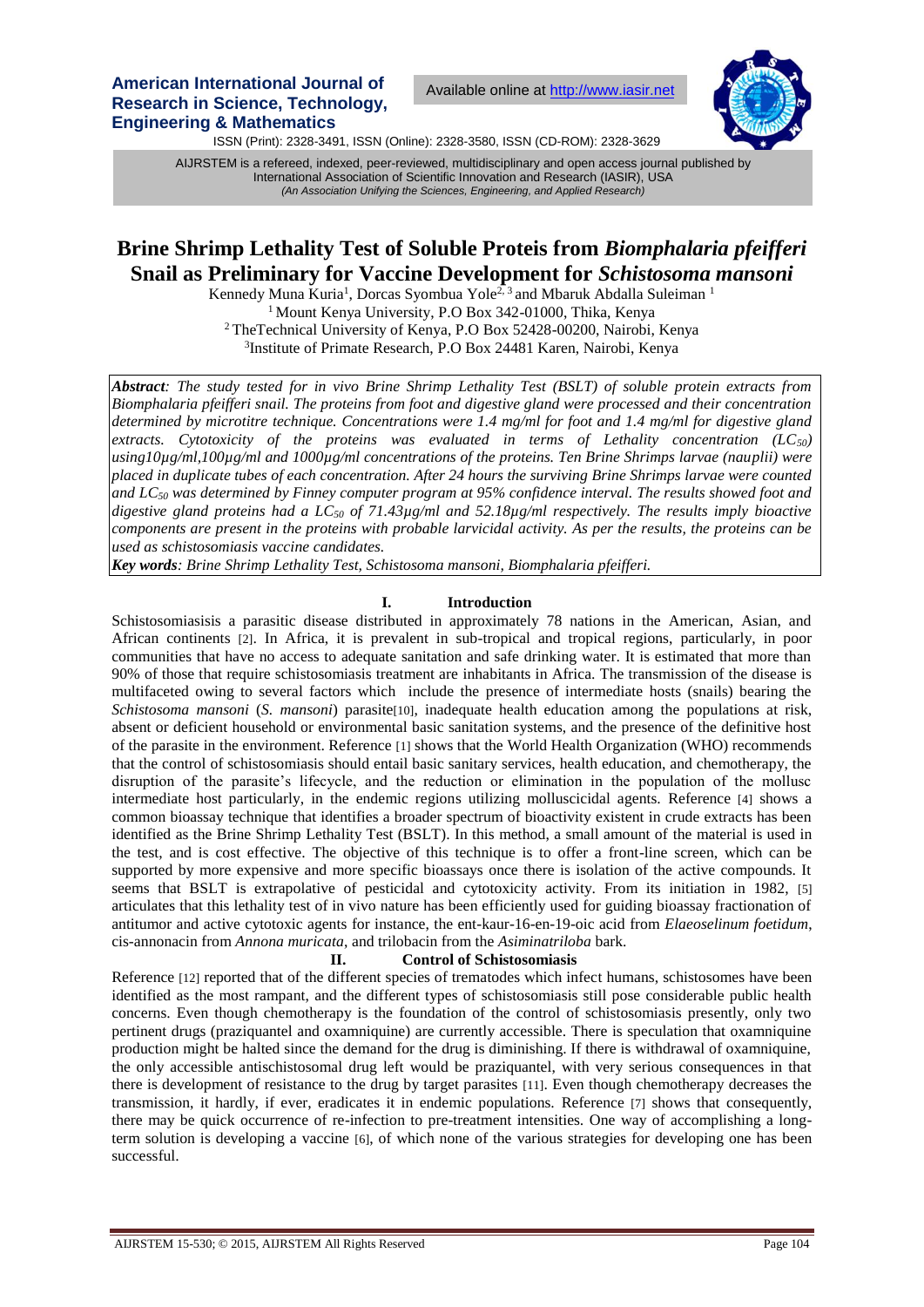**American International Journal of Research in Science, Technology, Engineering & Mathematics**

Available online at [http://www.iasir.net](http://www.iasir.net/)



ISSN (Print): 2328-3491, ISSN (Online): 2328-3580, ISSN (CD-ROM): 2328-3629

 International Association of Scientific Innovation and Research (IASIR), USA AIJRSTEM is a refereed, indexed, peer-reviewed, multidisciplinary and open access journal published by *(An Association Unifying the Sciences, Engineering, and Applied Research)*

# **Brine Shrimp Lethality Test of Soluble Proteis from** *Biomphalaria pfeifferi* **Snail as Preliminary for Vaccine Development for** *Schistosoma mansoni*

Kennedy Muna Kuria<sup>1</sup>, Dorcas Syombua Yole<sup>2, 3</sup> and Mbaruk Abdalla Suleiman<sup>1</sup> <sup>1</sup> Mount Kenya University, P.O Box 342-01000, Thika, Kenya <sup>2</sup>TheTechnical University of Kenya, P.O Box 52428-00200, Nairobi, Kenya 3 Institute of Primate Research, P.O Box 24481 Karen, Nairobi, Kenya

*Abstract: The study tested for in vivo Brine Shrimp Lethality Test (BSLT) of soluble protein extracts from Biomphalaria pfeifferi snail. The proteins from foot and digestive gland were processed and their concentration determined by microtitre technique. Concentrations were 1.4 mg/ml for foot and 1.4 mg/ml for digestive gland extracts. Cytotoxicity of the proteins was evaluated in terms of Lethality concentration (LC50) using10µg/ml,100µg/ml and 1000µg/ml concentrations of the proteins. Ten Brine Shrimps larvae (nauplii) were placed in duplicate tubes of each concentration. After 24 hours the surviving Brine Shrimps larvae were counted and LC<sup>50</sup> was determined by Finney computer program at 95% confidence interval. The results showed foot and digestive gland proteins had a LC<sup>50</sup> of 71.43µg/ml and 52.18µg/ml respectively. The results imply bioactive components are present in the proteins with probable larvicidal activity. As per the results, the proteins can be used as schistosomiasis vaccine candidates.*

*Key words: Brine Shrimp Lethality Test, Schistosoma mansoni, Biomphalaria pfeifferi.*

## **I. Introduction**

Schistosomiasisis a parasitic disease distributed in approximately 78 nations in the American, Asian, and African continents [2]. In Africa, it is prevalent in sub-tropical and tropical regions, particularly, in poor communities that have no access to adequate sanitation and safe drinking water. It is estimated that more than 90% of those that require schistosomiasis treatment are inhabitants in Africa. The transmission of the disease is multifaceted owing to several factors which include the presence of intermediate hosts (snails) bearing the *Schistosoma mansoni (S. mansoni)* parasite<sup>[10]</sup>, inadequate health education among the populations at risk, absent or deficient household or environmental basic sanitation systems, and the presence of the definitive host of the parasite in the environment. Reference [1] shows that the World Health Organization (WHO) recommends that the control of schistosomiasis should entail basic sanitary services, health education, and chemotherapy, the disruption of the parasite's lifecycle, and the reduction or elimination in the population of the mollusc intermediate host particularly, in the endemic regions utilizing molluscicidal agents. Reference [4] shows a common bioassay technique that identifies a broader spectrum of bioactivity existent in crude extracts has been identified as the Brine Shrimp Lethality Test (BSLT). In this method, a small amount of the material is used in the test, and is cost effective. The objective of this technique is to offer a front-line screen, which can be supported by more expensive and more specific bioassays once there is isolation of the active compounds. It seems that BSLT is extrapolative of pesticidal and cytotoxicity activity. From its initiation in 1982, [5] articulates that this lethality test of in vivo nature has been efficiently used for guiding bioassay fractionation of antitumor and active cytotoxic agents for instance, the ent-kaur-16-en-19-oic acid from *Elaeoselinum foetidum*, cis-annonacin from *Annona muricata*, and trilobacin from the *Asiminatriloba* bark.

#### **II. Control of Schistosomiasis**

Reference [12] reported that of the different species of trematodes which infect humans, schistosomes have been identified as the most rampant, and the different types of schistosomiasis still pose considerable public health concerns. Even though chemotherapy is the foundation of the control of schistosomiasis presently, only two pertinent drugs (praziquantel and oxamniquine) are currently accessible. There is speculation that oxamniquine production might be halted since the demand for the drug is diminishing. If there is withdrawal of oxamniquine, the only accessible antischistosomal drug left would be praziquantel, with very serious consequences in that there is development of resistance to the drug by target parasites [11]. Even though chemotherapy decreases the transmission, it hardly, if ever, eradicates it in endemic populations. Reference [7] shows that consequently, there may be quick occurrence of re-infection to pre-treatment intensities. One way of accomplishing a longterm solution is developing a vaccine [6], of which none of the various strategies for developing one has been successful.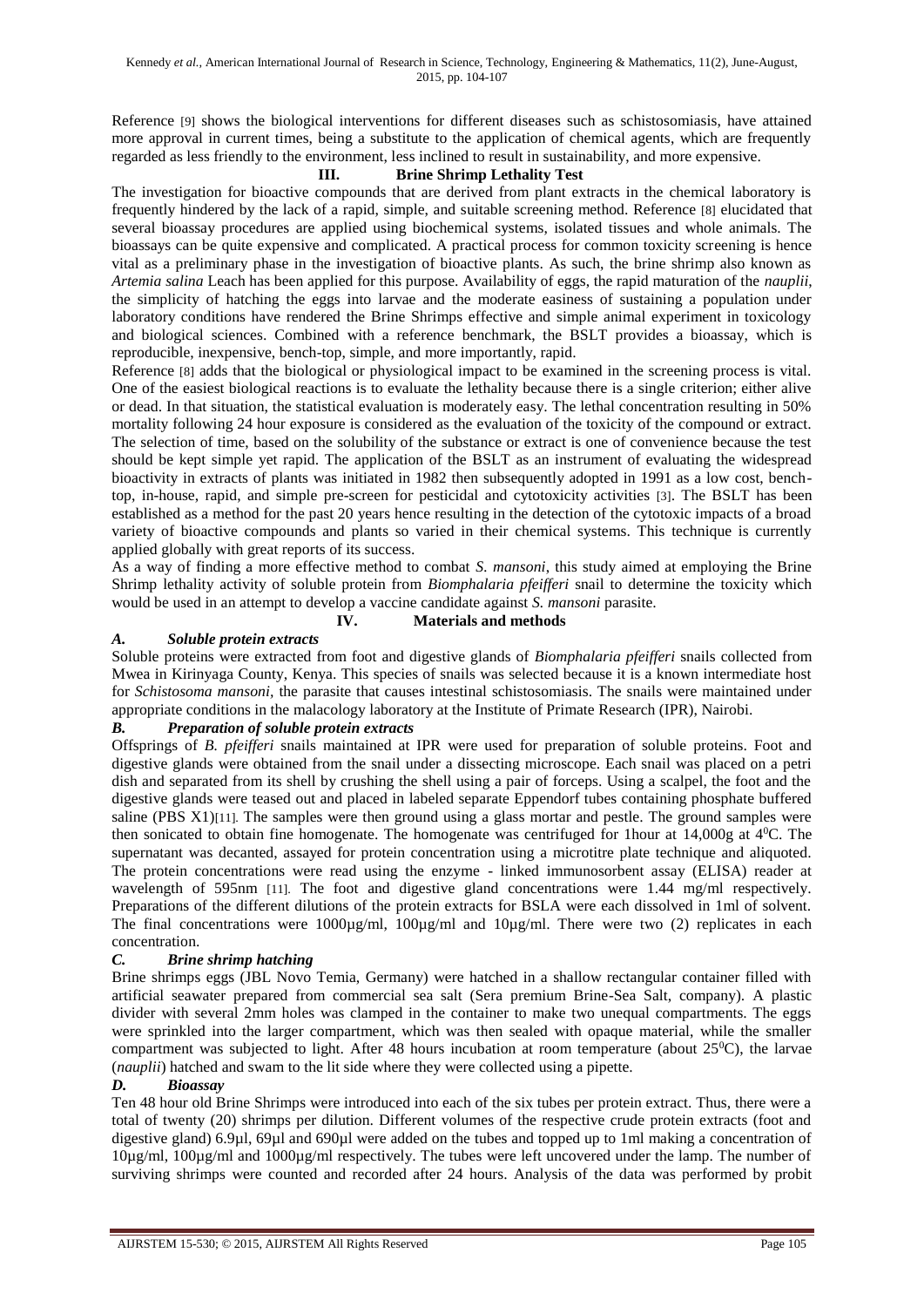Reference [9] shows the biological interventions for different diseases such as schistosomiasis, have attained more approval in current times, being a substitute to the application of chemical agents, which are frequently regarded as less friendly to the environment, less inclined to result in sustainability, and more expensive.

## **III. Brine Shrimp Lethality Test**

The investigation for bioactive compounds that are derived from plant extracts in the chemical laboratory is frequently hindered by the lack of a rapid, simple, and suitable screening method. Reference [8] elucidated that several bioassay procedures are applied using biochemical systems, isolated tissues and whole animals. The bioassays can be quite expensive and complicated. A practical process for common toxicity screening is hence vital as a preliminary phase in the investigation of bioactive plants. As such, the brine shrimp also known as *Artemia salina* Leach has been applied for this purpose. Availability of eggs, the rapid maturation of the *nauplii*, the simplicity of hatching the eggs into larvae and the moderate easiness of sustaining a population under laboratory conditions have rendered the Brine Shrimps effective and simple animal experiment in toxicology and biological sciences. Combined with a reference benchmark, the BSLT provides a bioassay, which is reproducible, inexpensive, bench-top, simple, and more importantly, rapid.

Reference [8] adds that the biological or physiological impact to be examined in the screening process is vital. One of the easiest biological reactions is to evaluate the lethality because there is a single criterion; either alive or dead. In that situation, the statistical evaluation is moderately easy. The lethal concentration resulting in 50% mortality following 24 hour exposure is considered as the evaluation of the toxicity of the compound or extract. The selection of time, based on the solubility of the substance or extract is one of convenience because the test should be kept simple yet rapid. The application of the BSLT as an instrument of evaluating the widespread bioactivity in extracts of plants was initiated in 1982 then subsequently adopted in 1991 as a low cost, benchtop, in-house, rapid, and simple pre-screen for pesticidal and cytotoxicity activities [3]. The BSLT has been established as a method for the past 20 years hence resulting in the detection of the cytotoxic impacts of a broad variety of bioactive compounds and plants so varied in their chemical systems. This technique is currently applied globally with great reports of its success.

As a way of finding a more effective method to combat *S. mansoni*, this study aimed at employing the Brine Shrimp lethality activity of soluble protein from *Biomphalaria pfeifferi* snail to determine the toxicity which would be used in an attempt to develop a vaccine candidate against *S. mansoni* parasite.

## **IV. Materials and methods**

# *A. Soluble protein extracts*

Soluble proteins were extracted from foot and digestive glands of *Biomphalaria pfeifferi* snails collected from Mwea in Kirinyaga County, Kenya. This species of snails was selected because it is a known intermediate host for *Schistosoma mansoni,* the parasite that causes intestinal schistosomiasis. The snails were maintained under appropriate conditions in the malacology laboratory at the Institute of Primate Research (IPR), Nairobi.

# *B. Preparation of soluble protein extracts*

Offsprings of *B. pfeifferi* snails maintained at IPR were used for preparation of soluble proteins. Foot and digestive glands were obtained from the snail under a dissecting microscope. Each snail was placed on a petri dish and separated from its shell by crushing the shell using a pair of forceps. Using a scalpel, the foot and the digestive glands were teased out and placed in labeled separate Eppendorf tubes containing phosphate buffered saline (PBS X1)[11]. The samples were then ground using a glass mortar and pestle. The ground samples were then sonicated to obtain fine homogenate. The homogenate was centrifuged for 1hour at 14,000g at 4<sup>0</sup>C. The supernatant was decanted, assayed for protein concentration using a microtitre plate technique and aliquoted. The protein concentrations were read using the enzyme - linked immunosorbent assay (ELISA) reader at wavelength of 595nm [11]. The foot and digestive gland concentrations were 1.44 mg/ml respectively. Preparations of the different dilutions of the protein extracts for BSLA were each dissolved in 1ml of solvent. The final concentrations were  $1000\mu\text{g/ml}$ ,  $100\mu\text{g/ml}$  and  $10\mu\text{g/ml}$ . There were two (2) replicates in each concentration.

# *C. Brine shrimp hatching*

Brine shrimps eggs (JBL Novo Temia, Germany) were hatched in a shallow rectangular container filled with artificial seawater prepared from commercial sea salt (Sera premium Brine-Sea Salt, company). A plastic divider with several 2mm holes was clamped in the container to make two unequal compartments. The eggs were sprinkled into the larger compartment, which was then sealed with opaque material, while the smaller compartment was subjected to light. After 48 hours incubation at room temperature (about  $25\degree$ C), the larvae (*nauplii*) hatched and swam to the lit side where they were collected using a pipette.

## *D. Bioassay*

Ten 48 hour old Brine Shrimps were introduced into each of the six tubes per protein extract. Thus, there were a total of twenty (20) shrimps per dilution. Different volumes of the respective crude protein extracts (foot and digestive gland) 6.9µl, 69µl and 690µl were added on the tubes and topped up to 1ml making a concentration of 10µg/ml, 100µg/ml and 1000µg/ml respectively. The tubes were left uncovered under the lamp. The number of surviving shrimps were counted and recorded after 24 hours. Analysis of the data was performed by probit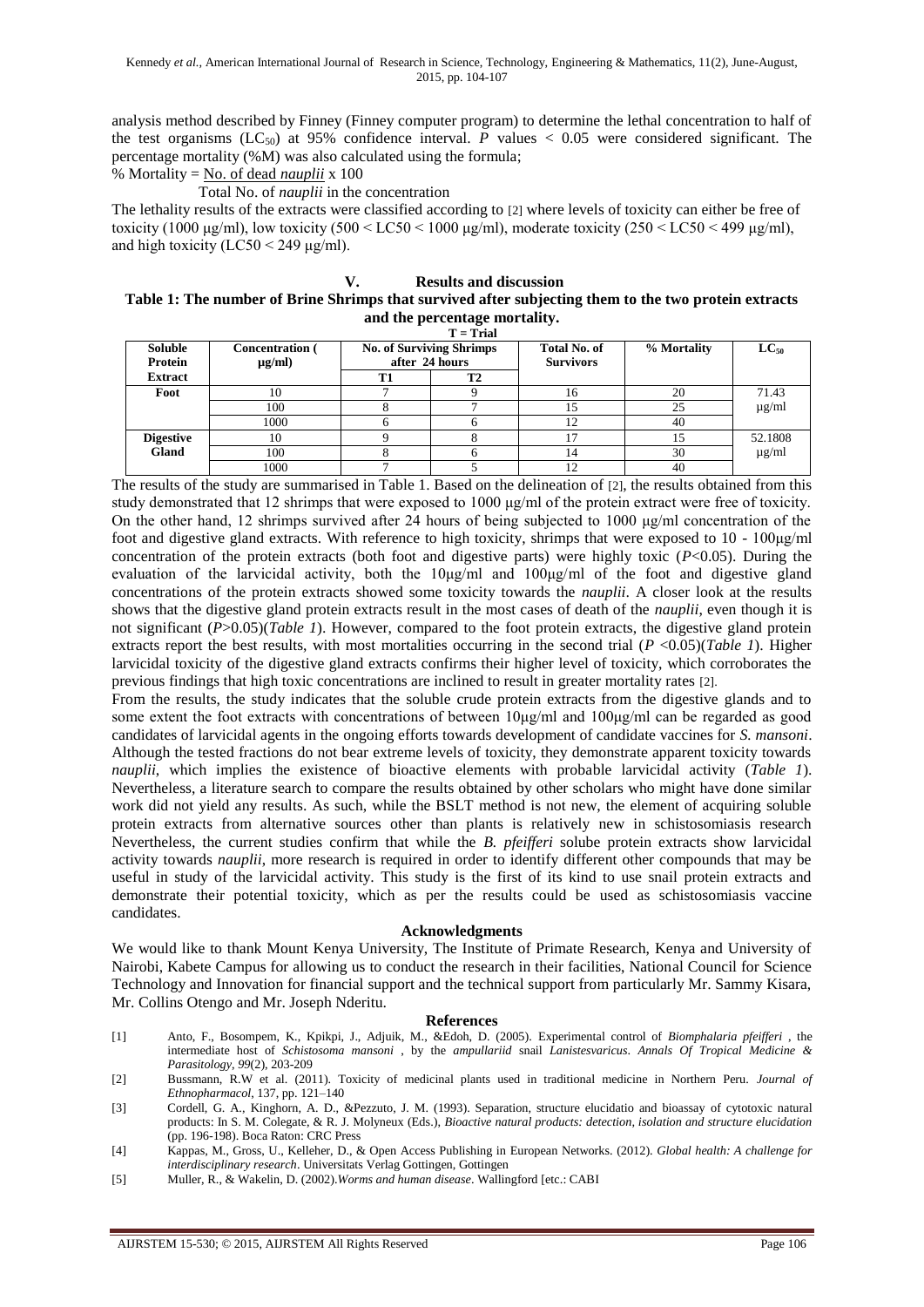analysis method described by Finney (Finney computer program) to determine the lethal concentration to half of the test organisms  $(LC_{50})$  at 95% confidence interval. *P* values  $\lt 0.05$  were considered significant. The percentage mortality (%M) was also calculated using the formula;

% Mortality = No. of dead *nauplii* x 100

Total No. of *nauplii* in the concentration

The lethality results of the extracts were classified according to [2] where levels of toxicity can either be free of toxicity (1000 μg/ml), low toxicity (500 < LC50 < 1000 μg/ml), moderate toxicity (250 < LC50 < 499 μg/ml), and high toxicity ( $LC50 < 249 \mu g/ml$ ).

### **V. Results and discussion**

## **Table 1: The number of Brine Shrimps that survived after subjecting them to the two protein extracts and the percentage mortality.**

 **T = Trial**

| $\mathbf{r} = \mathbf{r} \cdot \mathbf{r}$ |                                       |                                                   |    |                                         |             |            |
|--------------------------------------------|---------------------------------------|---------------------------------------------------|----|-----------------------------------------|-------------|------------|
| <b>Soluble</b><br>Protein                  | <b>Concentration</b> (<br>$\mu$ g/ml) | <b>No. of Surviving Shrimps</b><br>after 24 hours |    | <b>Total No. of</b><br><b>Survivors</b> | % Mortality | $LC_{50}$  |
| <b>Extract</b>                             |                                       | T1                                                | T2 |                                         |             |            |
| Foot                                       | 10                                    |                                                   |    | 10                                      | 20          | 71.43      |
|                                            | 100                                   |                                                   |    |                                         | 25          | $\mu$ g/ml |
|                                            | 1000                                  |                                                   |    |                                         | 40          |            |
| <b>Digestive</b>                           | 10                                    |                                                   |    |                                         | 15          | 52.1808    |
| <b>Gland</b>                               | 100                                   |                                                   |    |                                         | 30          | $\mu$ g/ml |
|                                            | 1000                                  |                                                   |    |                                         | 40          |            |

The results of the study are summarised in Table 1. Based on the delineation of [2], the results obtained from this study demonstrated that 12 shrimps that were exposed to 1000 μg/ml of the protein extract were free of toxicity. On the other hand, 12 shrimps survived after 24 hours of being subjected to 1000 μg/ml concentration of the foot and digestive gland extracts. With reference to high toxicity, shrimps that were exposed to 10 - 100μg/ml concentration of the protein extracts (both foot and digestive parts) were highly toxic (*P*<0.05). During the evaluation of the larvicidal activity, both the  $10\mu g/ml$  and  $100\mu g/ml$  of the foot and digestive gland concentrations of the protein extracts showed some toxicity towards the *nauplii*. A closer look at the results shows that the digestive gland protein extracts result in the most cases of death of the *nauplii*, even though it is not significant (*P*>0.05)(*Table 1*). However, compared to the foot protein extracts, the digestive gland protein extracts report the best results, with most mortalities occurring in the second trial (*P* <0.05)(*Table 1*). Higher larvicidal toxicity of the digestive gland extracts confirms their higher level of toxicity, which corroborates the previous findings that high toxic concentrations are inclined to result in greater mortality rates [2].

From the results, the study indicates that the soluble crude protein extracts from the digestive glands and to some extent the foot extracts with concentrations of between 10μg/ml and 100μg/ml can be regarded as good candidates of larvicidal agents in the ongoing efforts towards development of candidate vaccines for *S. mansoni*. Although the tested fractions do not bear extreme levels of toxicity, they demonstrate apparent toxicity towards *nauplii*, which implies the existence of bioactive elements with probable larvicidal activity (*Table 1*). Nevertheless, a literature search to compare the results obtained by other scholars who might have done similar work did not yield any results. As such, while the BSLT method is not new, the element of acquiring soluble protein extracts from alternative sources other than plants is relatively new in schistosomiasis research Nevertheless, the current studies confirm that while the *B. pfeifferi* solube protein extracts show larvicidal activity towards *nauplii*, more research is required in order to identify different other compounds that may be useful in study of the larvicidal activity. This study is the first of its kind to use snail protein extracts and demonstrate their potential toxicity, which as per the results could be used as schistosomiasis vaccine candidates.

#### **Acknowledgments**

We would like to thank Mount Kenya University, The Institute of Primate Research, Kenya and University of Nairobi, Kabete Campus for allowing us to conduct the research in their facilities, National Council for Science Technology and Innovation for financial support and the technical support from particularly Mr. Sammy Kisara, Mr. Collins Otengo and Mr. Joseph Nderitu.

#### **References**

[1] Anto, F., Bosompem, K., Kpikpi, J., Adjuik, M., &Edoh, D. (2005). Experimental control of *Biomphalaria pfeifferi* , the intermediate host of *Schistosoma mansoni* , by the *ampullariid* snail *Lanistesvaricus*. *Annals Of Tropical Medicine & Parasitology*, *99*(2), 203-209

- [3] Cordell, G. A., Kinghorn, A. D., &Pezzuto, J. M. (1993). Separation, structure elucidatio and bioassay of cytotoxic natural products: In S. M. Colegate, & R. J. Molyneux (Eds.), *Bioactive natural products: detection, isolation and structure elucidation*  (pp. 196-198). Boca Raton: CRC Press
- [4] Kappas, M., Gross, U., Kelleher, D., & Open Access Publishing in European Networks. (2012). *Global health: A challenge for interdisciplinary research*. Universitats Verlag Gottingen, Gottingen
- [5] Muller, R., & Wakelin, D. (2002).*Worms and human disease*. Wallingford [etc.: CABI

<sup>[2]</sup> Bussmann, R.W et al. (2011). Toxicity of medicinal plants used in traditional medicine in Northern Peru. *Journal of Ethnopharmacol*, 137, pp. 121–140